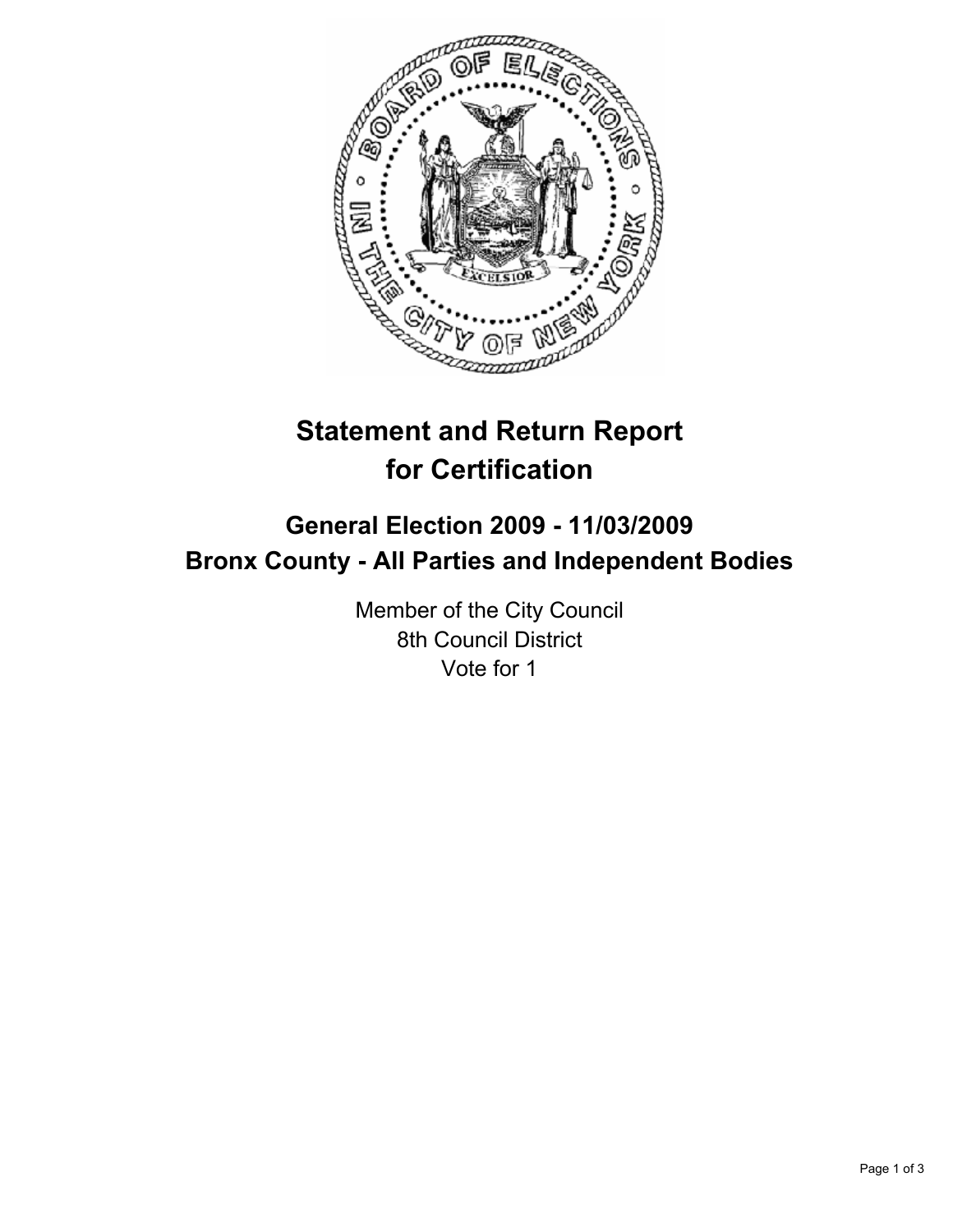

# **Statement and Return Report for Certification**

## **General Election 2009 - 11/03/2009 Bronx County - All Parties and Independent Bodies**

Member of the City Council 8th Council District Vote for 1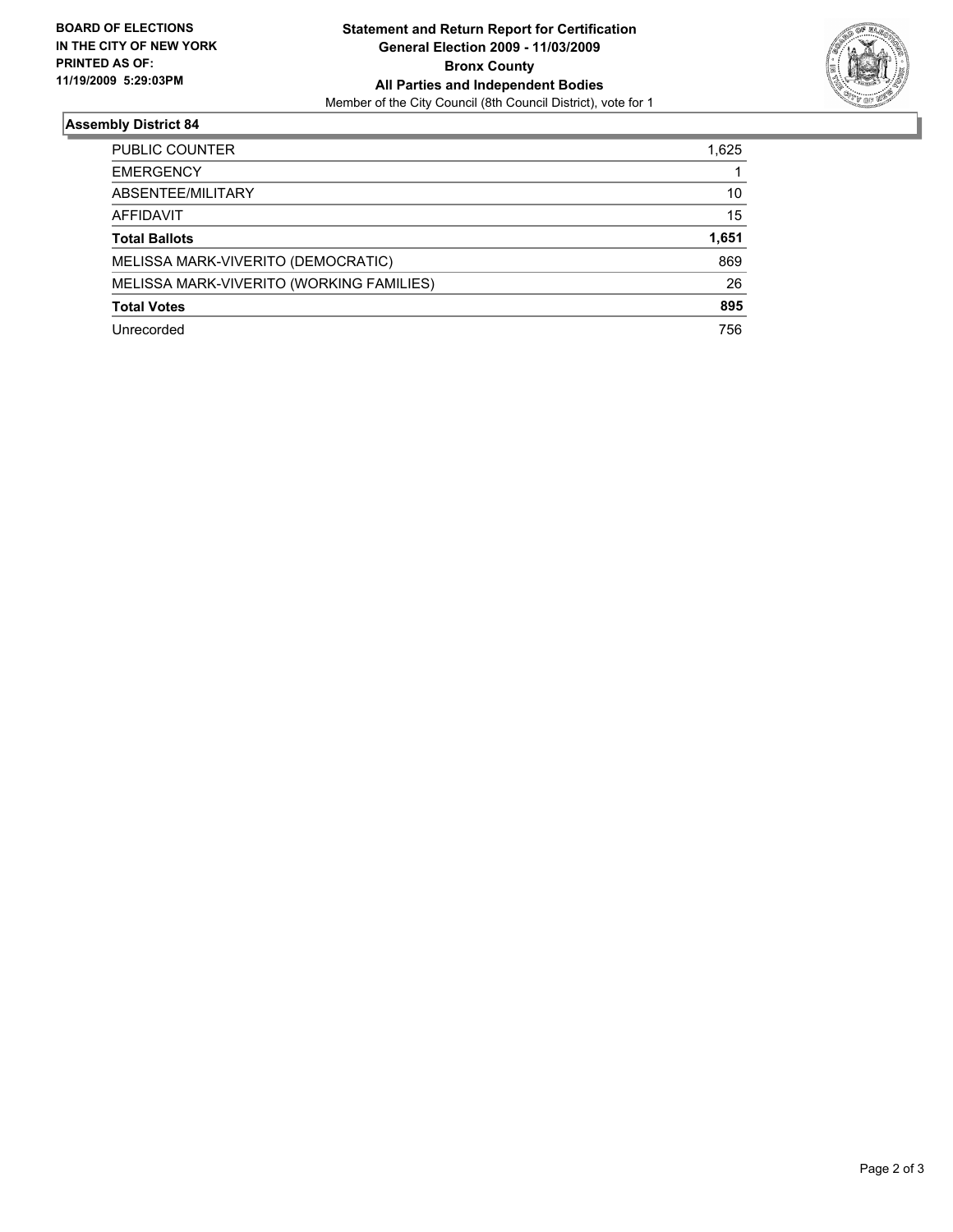

### **Assembly District 84**

| PUBLIC COUNTER                           | 1,625 |
|------------------------------------------|-------|
| <b>EMERGENCY</b>                         |       |
| ABSENTEE/MILITARY                        | 10    |
| <b>AFFIDAVIT</b>                         | 15    |
| <b>Total Ballots</b>                     | 1,651 |
| MELISSA MARK-VIVERITO (DEMOCRATIC)       | 869   |
| MELISSA MARK-VIVERITO (WORKING FAMILIES) | 26    |
| <b>Total Votes</b>                       | 895   |
| Unrecorded                               | 756   |